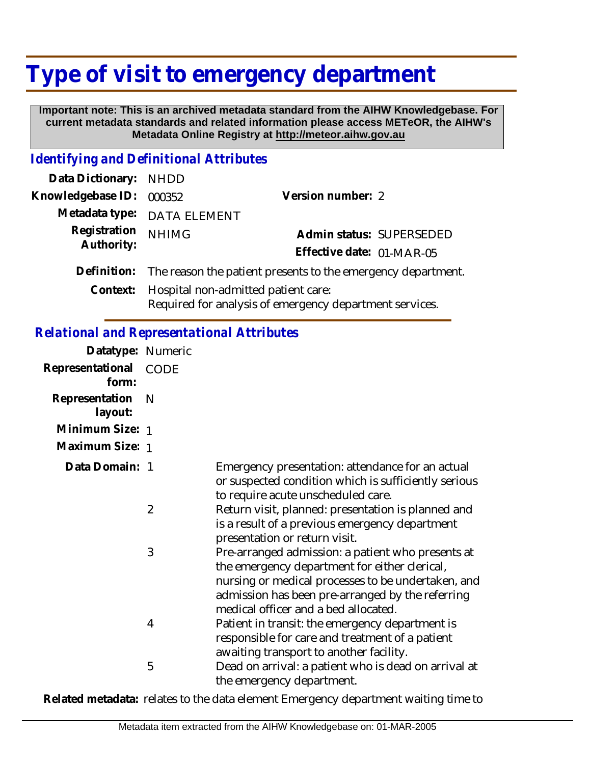## **Type of visit to emergency department**

 **Important note: This is an archived metadata standard from the AIHW Knowledgebase. For current metadata standards and related information please access METeOR, the AIHW's Metadata Online Registry at http://meteor.aihw.gov.au**

## *Identifying and Definitional Attributes*

| Data Dictionary: NHDD |                                                                                                |                           |                          |
|-----------------------|------------------------------------------------------------------------------------------------|---------------------------|--------------------------|
| Knowledgebase ID:     | 000352                                                                                         | Version number: 2         |                          |
|                       | Metadata type: DATA ELEMENT                                                                    |                           |                          |
| Registration          | <b>NHIMG</b>                                                                                   |                           | Admin status: SUPERSEDED |
| Authority:            |                                                                                                | Effective date: 01-MAR-05 |                          |
|                       | Definition: The reason the patient presents to the emergency department.                       |                           |                          |
| Context:              | Hospital non-admitted patient care:<br>Required for analysis of emergency department services. |                           |                          |

## *Relational and Representational Attributes*

| Datatype: Numeric         |                |                                                                                                                                                                                                                                                      |
|---------------------------|----------------|------------------------------------------------------------------------------------------------------------------------------------------------------------------------------------------------------------------------------------------------------|
| Representational<br>form: | <b>CODE</b>    |                                                                                                                                                                                                                                                      |
| Representation<br>layout: | N              |                                                                                                                                                                                                                                                      |
| Minimum Size: 1           |                |                                                                                                                                                                                                                                                      |
| Maximum Size: 1           |                |                                                                                                                                                                                                                                                      |
| Data Domain: 1            |                | Emergency presentation: attendance for an actual<br>or suspected condition which is sufficiently serious<br>to require acute unscheduled care.                                                                                                       |
|                           | $\overline{2}$ | Return visit, planned: presentation is planned and<br>is a result of a previous emergency department<br>presentation or return visit.                                                                                                                |
|                           | 3              | Pre-arranged admission: a patient who presents at<br>the emergency department for either clerical,<br>nursing or medical processes to be undertaken, and<br>admission has been pre-arranged by the referring<br>medical officer and a bed allocated. |
|                           | 4              | Patient in transit: the emergency department is<br>responsible for care and treatment of a patient<br>awaiting transport to another facility.                                                                                                        |
|                           | 5              | Dead on arrival: a patient who is dead on arrival at<br>the emergency department.                                                                                                                                                                    |

**Related metadata:** relates to the data element Emergency department waiting time to